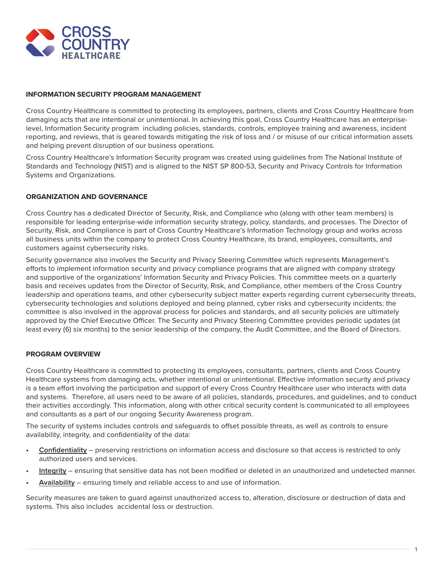

## **INFORMATION SECURITY PROGRAM MANAGEMENT**

Cross Country Healthcare is committed to protecting its employees, partners, clients and Cross Country Healthcare from damaging acts that are intentional or unintentional. In achieving this goal, Cross Country Healthcare has an enterpriselevel, Information Security program including policies, standards, controls, employee training and awareness, incident reporting, and reviews, that is geared towards mitigating the risk of loss and / or misuse of our critical information assets and helping prevent disruption of our business operations.

Cross Country Healthcare's Information Security program was created using guidelines from The National Institute of Standards and Technology (NIST) and is aligned to the NIST SP 800-53, Security and Privacy Controls for Information Systems and Organizations.

## **ORGANIZATION AND GOVERNANCE**

Cross Country has a dedicated Director of Security, Risk, and Compliance who (along with other team members) is responsible for leading enterprise-wide information security strategy, policy, standards, and processes. The Director of Security, Risk, and Compliance is part of Cross Country Healthcare's Information Technology group and works across all business units within the company to protect Cross Country Healthcare, its brand, employees, consultants, and customers against cybersecurity risks.

Security governance also involves the Security and Privacy Steering Committee which represents Management's efforts to implement information security and privacy compliance programs that are aligned with company strategy and supportive of the organizations' Information Security and Privacy Policies. This committee meets on a quarterly basis and receives updates from the Director of Security, Risk, and Compliance, other members of the Cross Country leadership and operations teams, and other cybersecurity subject matter experts regarding current cybersecurity threats, cybersecurity technologies and solutions deployed and being planned, cyber risks and cybersecurity incidents; the committee is also involved in the approval process for policies and standards, and all security policies are ultimately approved by the Chief Executive Officer. The Security and Privacy Steering Committee provides periodic updates (at least every (6) six months) to the senior leadership of the company, the Audit Committee, and the Board of Directors.

## **PROGRAM OVERVIEW**

Cross Country Healthcare is committed to protecting its employees, consultants, partners, clients and Cross Country Healthcare systems from damaging acts, whether intentional or unintentional. Effective information security and privacy is a team effort involving the participation and support of every Cross Country Healthcare user who interacts with data and systems. Therefore, all users need to be aware of all policies, standards, procedures, and guidelines, and to conduct their activities accordingly. This information, along with other critical security content is communicated to all employees and consultants as a part of our ongoing Security Awareness program.

The security of systems includes controls and safeguards to offset possible threats, as well as controls to ensure availability, integrity, and confidentiality of the data:

- **• Confidentiality** preserving restrictions on information access and disclosure so that access is restricted to only authorized users and services.
- **• Integrity** ensuring that sensitive data has not been modified or deleted in an unauthorized and undetected manner.
- **• Availability** ensuring timely and reliable access to and use of information.

Security measures are taken to guard against unauthorized access to, alteration, disclosure or destruction of data and systems. This also includes accidental loss or destruction.